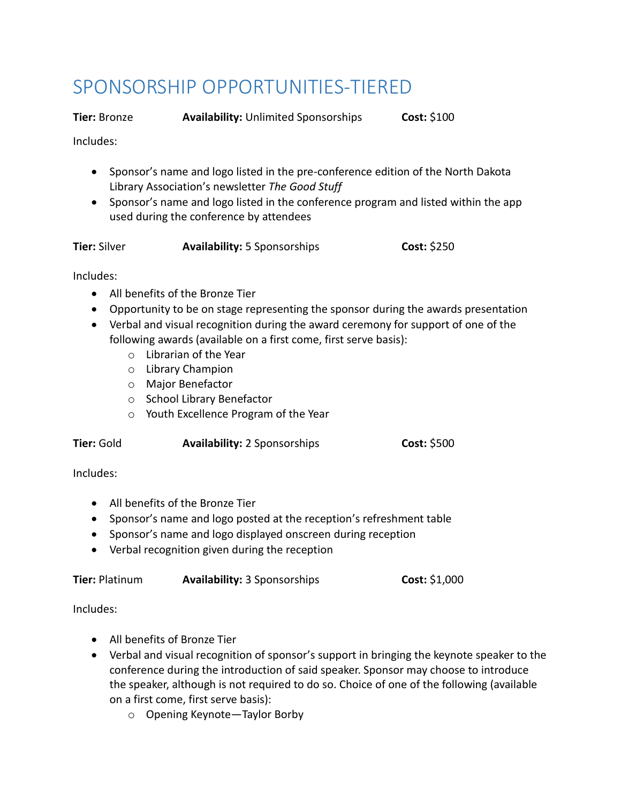## SPONSORSHIP OPPORTUNITIES-TIERED

**Tier:** Bronze **Availability:** Unlimited Sponsorships **Cost:** \$100

Includes:

- Sponsor's name and logo listed in the pre-conference edition of the North Dakota Library Association's newsletter *The Good Stuff*
- Sponsor's name and logo listed in the conference program and listed within the app used during the conference by attendees

**Tier:** Silver **Availability:** 5 Sponsorships **Cost:** \$250

Includes:

- All benefits of the Bronze Tier
- Opportunity to be on stage representing the sponsor during the awards presentation
- Verbal and visual recognition during the award ceremony for support of one of the following awards (available on a first come, first serve basis):
	- o Librarian of the Year
	- o Library Champion
	- o Major Benefactor
	- o School Library Benefactor
	- o Youth Excellence Program of the Year

**Tier:** Gold **Availability:** 2 Sponsorships **Cost:** \$500

Includes:

- All benefits of the Bronze Tier
- Sponsor's name and logo posted at the reception's refreshment table
- Sponsor's name and logo displayed onscreen during reception
- Verbal recognition given during the reception

| Tier: Platinum | <b>Availability: 3 Sponsorships</b> | Cost: \$1,000 |
|----------------|-------------------------------------|---------------|
|----------------|-------------------------------------|---------------|

Includes:

- All benefits of Bronze Tier
- Verbal and visual recognition of sponsor's support in bringing the keynote speaker to the conference during the introduction of said speaker. Sponsor may choose to introduce the speaker, although is not required to do so. Choice of one of the following (available on a first come, first serve basis):
	- o Opening Keynote—Taylor Borby